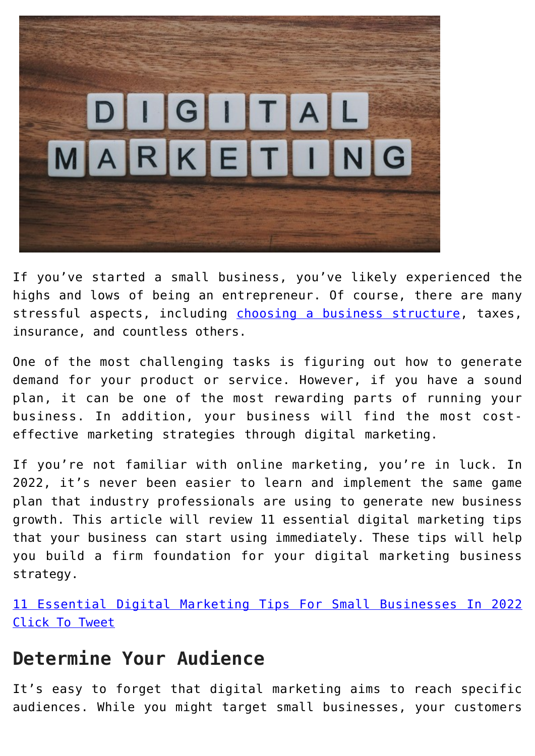

If you've started a small business, you've likely experienced the highs and lows of being an entrepreneur. Of course, there are many stressful aspects, including [choosing a business structure](https://www.sba.gov/business-guide/launch-your-business/choose-business-structure), taxes, insurance, and countless others.

One of the most challenging tasks is figuring out how to generate demand for your product or service. However, if you have a sound plan, it can be one of the most rewarding parts of running your business. In addition, your business will find the most costeffective marketing strategies through digital marketing.

If you're not familiar with online marketing, you're in luck. In 2022, it's never been easier to learn and implement the same game plan that industry professionals are using to generate new business growth. This article will review 11 essential digital marketing tips that your business can start using immediately. These tips will help you build a firm foundation for your digital marketing business strategy.

[11 Essential Digital Marketing Tips For Small Businesses In 2022](https://twitter.com/intent/tweet?url=https%3A%2F%2Fwp.me%2Fp5lHnz-jTg&text=11%20Essential%20Digital%20Marketing%20Tips%20For%20Small%20Businesses%20In%202022&via=ASBDC&related=ASBDC) [Click To Tweet](https://twitter.com/intent/tweet?url=https%3A%2F%2Fwp.me%2Fp5lHnz-jTg&text=11%20Essential%20Digital%20Marketing%20Tips%20For%20Small%20Businesses%20In%202022&via=ASBDC&related=ASBDC)

## **Determine Your Audience**

It's easy to forget that digital marketing aims to reach specific audiences. While you might target small businesses, your customers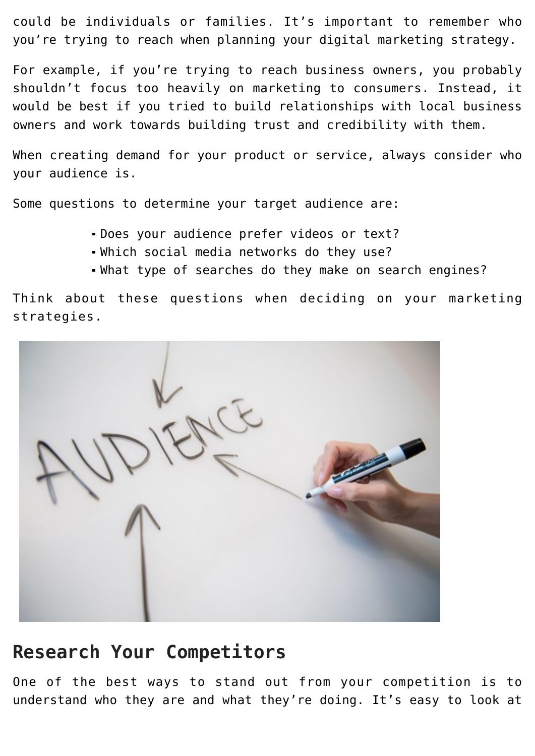could be individuals or families. It's important to remember who you're trying to reach when planning your digital marketing strategy.

For example, if you're trying to reach business owners, you probably shouldn't focus too heavily on marketing to consumers. Instead, it would be best if you tried to build relationships with local business owners and work towards building trust and credibility with them.

When creating demand for your product or service, always consider who your audience is.

Some questions to determine your target audience are:

- Does your audience prefer videos or text?
- Which social media networks do they use?
- What type of searches do they make on search engines?

Think about these questions when deciding on your marketing strategies.



#### **Research Your Competitors**

One of the best ways to stand out from your competition is to understand who they are and what they're doing. It's easy to look at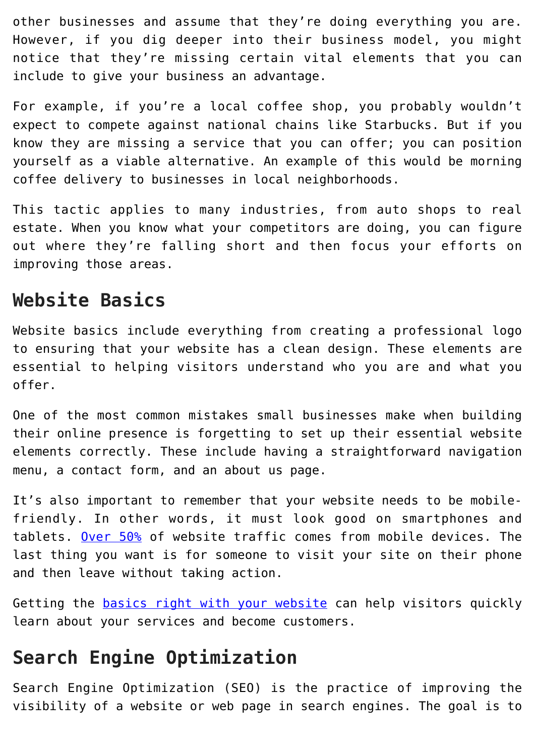other businesses and assume that they're doing everything you are. However, if you dig deeper into their business model, you might notice that they're missing certain vital elements that you can include to give your business an advantage.

For example, if you're a local coffee shop, you probably wouldn't expect to compete against national chains like Starbucks. But if you know they are missing a service that you can offer; you can position yourself as a viable alternative. An example of this would be morning coffee delivery to businesses in local neighborhoods.

This tactic applies to many industries, from auto shops to real estate. When you know what your competitors are doing, you can figure out where they're falling short and then focus your efforts on improving those areas.

## **Website Basics**

Website basics include everything from creating a professional logo to ensuring that your website has a clean design. These elements are essential to helping visitors understand who you are and what you offer.

One of the most common mistakes small businesses make when building their online presence is forgetting to set up their essential website elements correctly. These include having a straightforward navigation menu, a contact form, and an about us page.

It's also important to remember that your website needs to be mobilefriendly. In other words, it must look good on smartphones and tablets. [Over 50%](https://www.statista.com/statistics/277125/share-of-website-traffic-coming-from-mobile-devices/) of website traffic comes from mobile devices. The last thing you want is for someone to visit your site on their phone and then leave without taking action.

Getting the **basics right with your website** can help visitors quickly learn about your services and become customers.

## **Search Engine Optimization**

Search Engine Optimization (SEO) is the practice of improving the visibility of a website or web page in search engines. The goal is to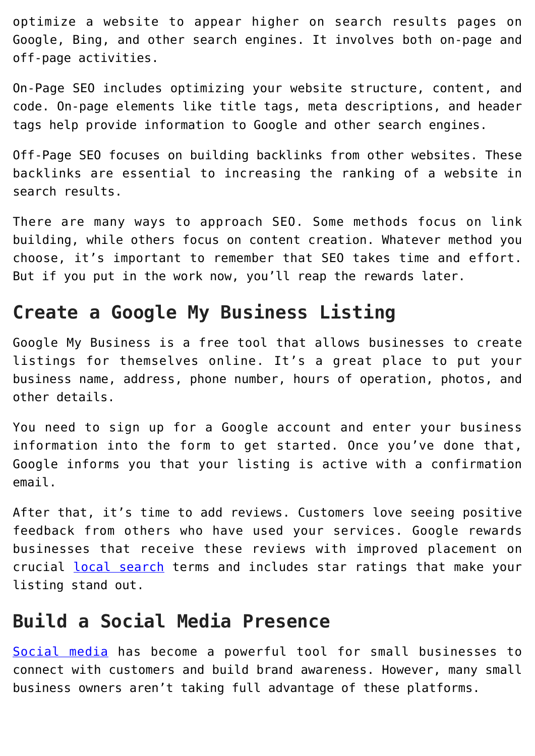optimize a website to appear higher on search results pages on Google, Bing, and other search engines. It involves both on-page and off-page activities.

On-Page SEO includes optimizing your website structure, content, and code. On-page elements like title tags, meta descriptions, and header tags help provide information to Google and other search engines.

Off-Page SEO focuses on building backlinks from other websites. These backlinks are essential to increasing the ranking of a website in search results.

There are many ways to approach SEO. Some methods focus on link building, while others focus on content creation. Whatever method you choose, it's important to remember that SEO takes time and effort. But if you put in the work now, you'll reap the rewards later.

#### **Create a Google My Business Listing**

Google My Business is a free tool that allows businesses to create listings for themselves online. It's a great place to put your business name, address, phone number, hours of operation, photos, and other details.

You need to sign up for a Google account and enter your business information into the form to get started. Once you've done that, Google informs you that your listing is active with a confirmation email.

After that, it's time to add reviews. Customers love seeing positive feedback from others who have used your services. Google rewards businesses that receive these reviews with improved placement on crucial [local search](https://www.score.org/event/local-search-engine-optimizationseo-strategies-get-your-business-found-online) terms and includes star ratings that make your listing stand out.

#### **Build a Social Media Presence**

[Social media](https://americassbdc.org/how-to-fully-harness-the-power-of-social-media-without-spending-money/) has become a powerful tool for small businesses to connect with customers and build brand awareness. However, many small business owners aren't taking full advantage of these platforms.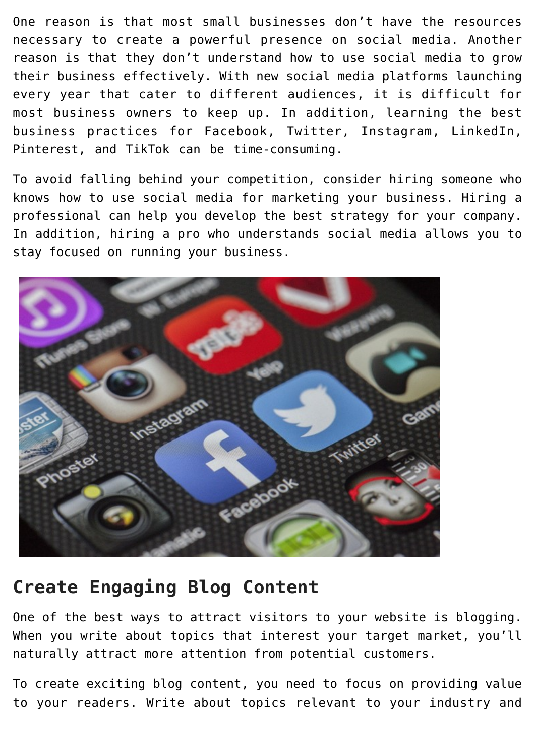One reason is that most small businesses don't have the resources necessary to create a powerful presence on social media. Another reason is that they don't understand how to use social media to grow their business effectively. With new social media platforms launching every year that cater to different audiences, it is difficult for most business owners to keep up. In addition, learning the best business practices for Facebook, Twitter, Instagram, LinkedIn, Pinterest, and TikTok can be time-consuming.

To avoid falling behind your competition, consider hiring someone who knows how to use social media for marketing your business. Hiring a professional can help you develop the best strategy for your company. In addition, hiring a pro who understands social media allows you to stay focused on running your business.



## **Create Engaging Blog Content**

One of the best ways to attract visitors to your website is blogging. When you write about topics that interest your target market, you'll naturally attract more attention from potential customers.

To create exciting blog content, you need to focus on providing value to your readers. Write about topics relevant to your industry and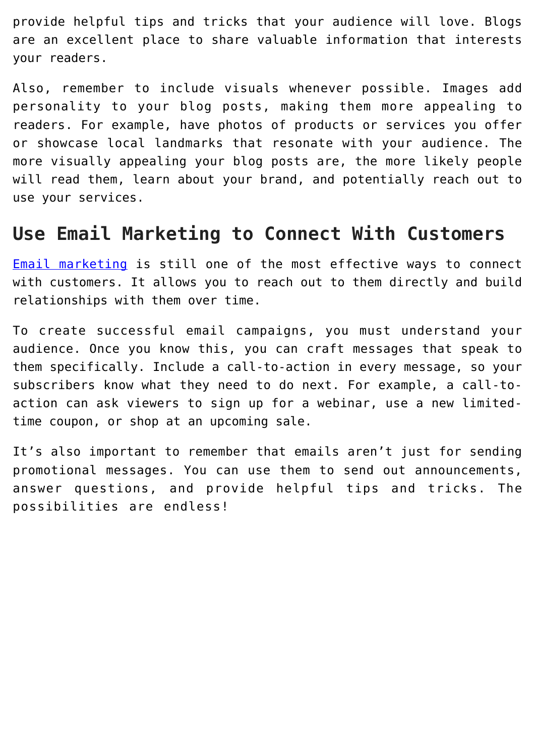provide helpful tips and tricks that your audience will love. Blogs are an excellent place to share valuable information that interests your readers.

Also, remember to include visuals whenever possible. Images add personality to your blog posts, making them more appealing to readers. For example, have photos of products or services you offer or showcase local landmarks that resonate with your audience. The more visually appealing your blog posts are, the more likely people will read them, learn about your brand, and potentially reach out to use your services.

#### **Use Email Marketing to Connect With Customers**

[Email marketing](https://americassbdc.org/email-marketing-strategy-15-minute-challenge-plan/) is still one of the most effective ways to connect with customers. It allows you to reach out to them directly and build relationships with them over time.

To create successful email campaigns, you must understand your audience. Once you know this, you can craft messages that speak to them specifically. Include a call-to-action in every message, so your subscribers know what they need to do next. For example, a call-toaction can ask viewers to sign up for a webinar, use a new limitedtime coupon, or shop at an upcoming sale.

It's also important to remember that emails aren't just for sending promotional messages. You can use them to send out announcements, answer questions, and provide helpful tips and tricks. The possibilities are endless!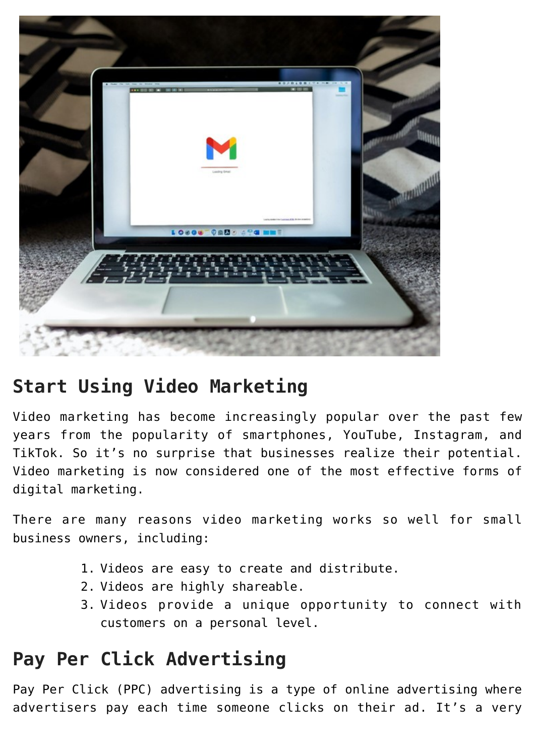

## **Start Using Video Marketing**

Video marketing has become increasingly popular over the past few years from the popularity of smartphones, YouTube, Instagram, and TikTok. So it's no surprise that businesses realize their potential. Video marketing is now considered one of the most effective forms of digital marketing.

There are many reasons video marketing works so well for small business owners, including:

- 1. Videos are easy to create and distribute.
- 2. Videos are highly shareable.
- 3. Videos provide a unique opportunity to connect with customers on a personal level.

## **Pay Per Click Advertising**

Pay Per Click (PPC) advertising is a type of online advertising where advertisers pay each time someone clicks on their ad. It's a very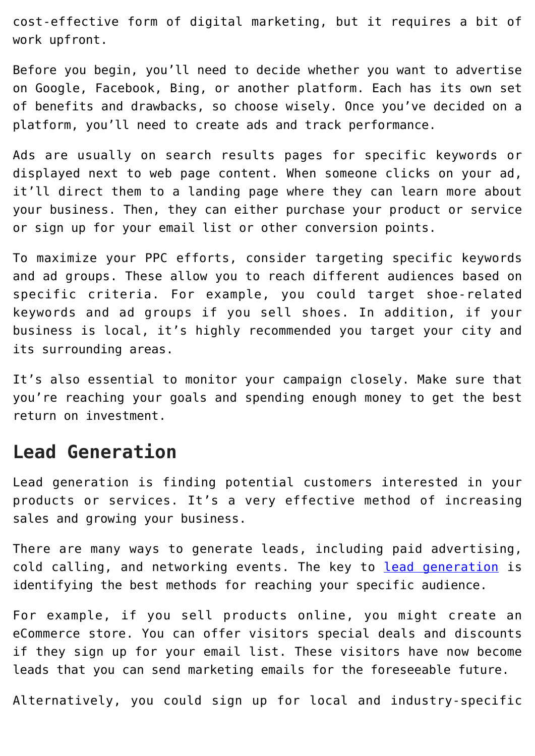cost-effective form of digital marketing, but it requires a bit of work upfront.

Before you begin, you'll need to decide whether you want to advertise on Google, Facebook, Bing, or another platform. Each has its own set of benefits and drawbacks, so choose wisely. Once you've decided on a platform, you'll need to create ads and track performance.

Ads are usually on search results pages for specific keywords or displayed next to web page content. When someone clicks on your ad, it'll direct them to a landing page where they can learn more about your business. Then, they can either purchase your product or service or sign up for your email list or other conversion points.

To maximize your PPC efforts, consider targeting specific keywords and ad groups. These allow you to reach different audiences based on specific criteria. For example, you could target shoe-related keywords and ad groups if you sell shoes. In addition, if your business is local, it's highly recommended you target your city and its surrounding areas.

It's also essential to monitor your campaign closely. Make sure that you're reaching your goals and spending enough money to get the best return on investment.

#### **Lead Generation**

Lead generation is finding potential customers interested in your products or services. It's a very effective method of increasing sales and growing your business.

There are many ways to generate leads, including paid advertising, cold calling, and networking events. The key to [lead generation](https://americassbdc.org/the-ins-and-outs-of-customer-acquisition-for-small-businesses/) is identifying the best methods for reaching your specific audience.

For example, if you sell products online, you might create an eCommerce store. You can offer visitors special deals and discounts if they sign up for your email list. These visitors have now become leads that you can send marketing emails for the foreseeable future.

Alternatively, you could sign up for local and industry-specific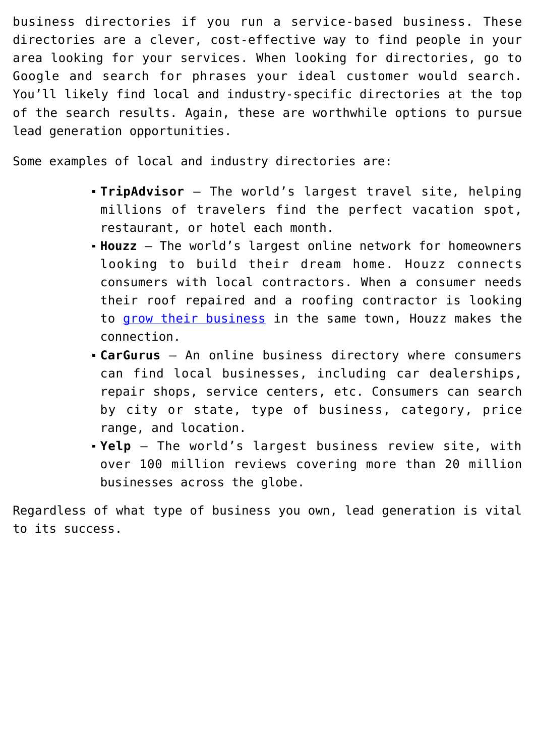business directories if you run a service-based business. These directories are a clever, cost-effective way to find people in your area looking for your services. When looking for directories, go to Google and search for phrases your ideal customer would search. You'll likely find local and industry-specific directories at the top of the search results. Again, these are worthwhile options to pursue lead generation opportunities.

Some examples of local and industry directories are:

- **TripAdvisor** The world's largest travel site, helping millions of travelers find the perfect vacation spot, restaurant, or hotel each month.
- **Houzz** The world's largest online network for homeowners looking to build their dream home. Houzz connects consumers with local contractors. When a consumer needs their roof repaired and a roofing contractor is looking to [grow their business](https://www.houzz.com/for-pros/software-roofer-leads) in the same town, Houzz makes the connection.
- **CarGurus** An online business directory where consumers can find local businesses, including car dealerships, repair shops, service centers, etc. Consumers can search by city or state, type of business, category, price range, and location.
- **Yelp** The world's largest business review site, with over 100 million reviews covering more than 20 million businesses across the globe.

Regardless of what type of business you own, lead generation is vital to its success.